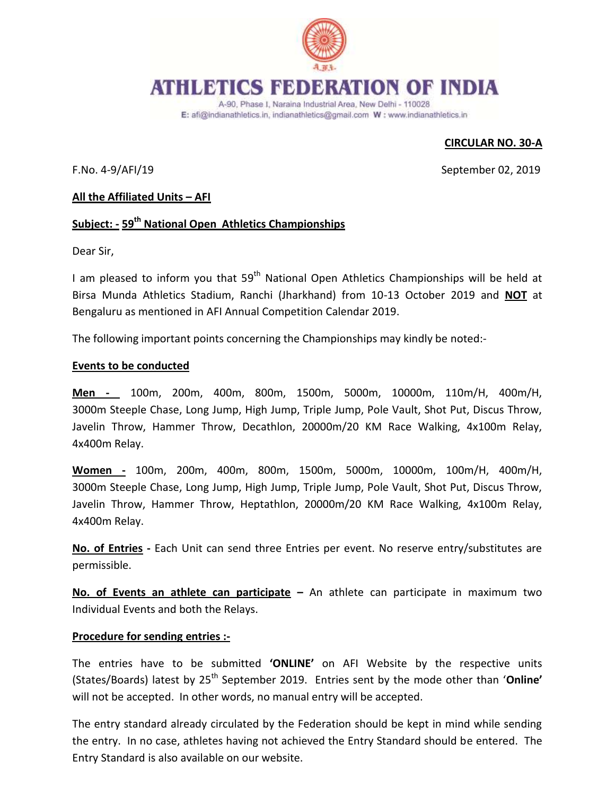

# **ATHLETICS FEDERATION OF INDIA**

A-90, Phase I, Naraina Industrial Area, New Delhi - 110028 E: afi@indianathletics.in, indianathletics@gmail.com W: www.indianathletics.in

# **CIRCULAR NO. 30-A**

F.No. 4-9/AFI/19 September 02, 2019

### **All the Affiliated Units – AFI**

# **Subject: - 59 th National Open Athletics Championships**

Dear Sir,

I am pleased to inform you that 59<sup>th</sup> National Open Athletics Championships will be held at Birsa Munda Athletics Stadium, Ranchi (Jharkhand) from 10-13 October 2019 and **NOT** at Bengaluru as mentioned in AFI Annual Competition Calendar 2019.

The following important points concerning the Championships may kindly be noted:-

#### **Events to be conducted**

**Men -** 100m, 200m, 400m, 800m, 1500m, 5000m, 10000m, 110m/H, 400m/H, 3000m Steeple Chase, Long Jump, High Jump, Triple Jump, Pole Vault, Shot Put, Discus Throw, Javelin Throw, Hammer Throw, Decathlon, 20000m/20 KM Race Walking, 4x100m Relay, 4x400m Relay.

**Women -** 100m, 200m, 400m, 800m, 1500m, 5000m, 10000m, 100m/H, 400m/H, 3000m Steeple Chase, Long Jump, High Jump, Triple Jump, Pole Vault, Shot Put, Discus Throw, Javelin Throw, Hammer Throw, Heptathlon, 20000m/20 KM Race Walking, 4x100m Relay, 4x400m Relay.

**No. of Entries -** Each Unit can send three Entries per event. No reserve entry/substitutes are permissible.

**No. of Events an athlete can participate –** An athlete can participate in maximum two Individual Events and both the Relays.

#### **Procedure for sending entries :-**

The entries have to be submitted **'ONLINE'** on AFI Website by the respective units (States/Boards) latest by 25<sup>th</sup> September 2019. Entries sent by the mode other than 'Online' will not be accepted. In other words, no manual entry will be accepted.

The entry standard already circulated by the Federation should be kept in mind while sending the entry. In no case, athletes having not achieved the Entry Standard should be entered. The Entry Standard is also available on our website.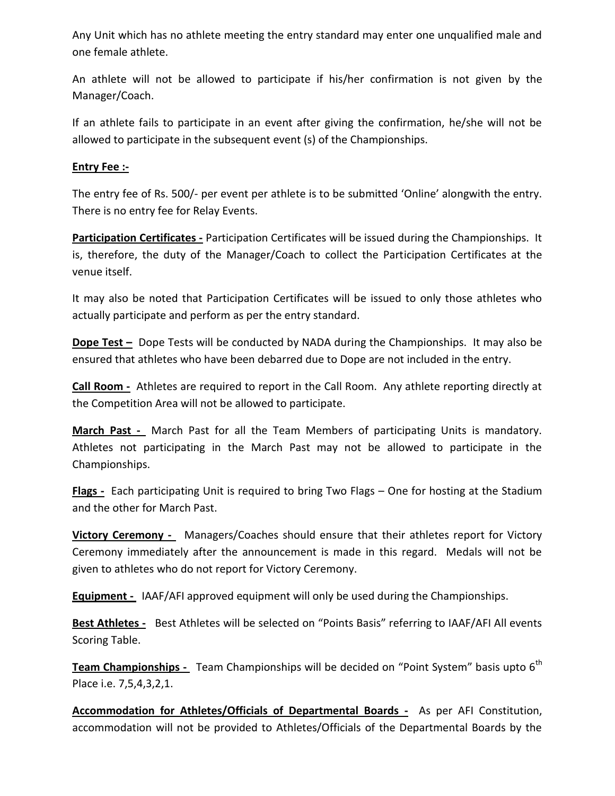Any Unit which has no athlete meeting the entry standard may enter one unqualified male and one female athlete.

An athlete will not be allowed to participate if his/her confirmation is not given by the Manager/Coach.

If an athlete fails to participate in an event after giving the confirmation, he/she will not be allowed to participate in the subsequent event (s) of the Championships.

# **Entry Fee :-**

The entry fee of Rs. 500/- per event per athlete is to be submitted 'Online' alongwith the entry. There is no entry fee for Relay Events.

**Participation Certificates -** Participation Certificates will be issued during the Championships. It is, therefore, the duty of the Manager/Coach to collect the Participation Certificates at the venue itself.

It may also be noted that Participation Certificates will be issued to only those athletes who actually participate and perform as per the entry standard.

**Dope Test -** Dope Tests will be conducted by NADA during the Championships. It may also be ensured that athletes who have been debarred due to Dope are not included in the entry.

**Call Room -** Athletes are required to report in the Call Room. Any athlete reporting directly at the Competition Area will not be allowed to participate.

**March Past -** March Past for all the Team Members of participating Units is mandatory. Athletes not participating in the March Past may not be allowed to participate in the Championships.

**Flags -** Each participating Unit is required to bring Two Flags – One for hosting at the Stadium and the other for March Past.

**Victory Ceremony -** Managers/Coaches should ensure that their athletes report for Victory Ceremony immediately after the announcement is made in this regard. Medals will not be given to athletes who do not report for Victory Ceremony.

**Equipment -** IAAF/AFI approved equipment will only be used during the Championships.

**Best Athletes -** Best Athletes will be selected on "Points Basis" referring to IAAF/AFI All events Scoring Table.

**Team Championships -** Team Championships will be decided on "Point System" basis upto 6<sup>th</sup> Place i.e. 7,5,4,3,2,1.

**Accommodation for Athletes/Officials of Departmental Boards -** As per AFI Constitution, accommodation will not be provided to Athletes/Officials of the Departmental Boards by the